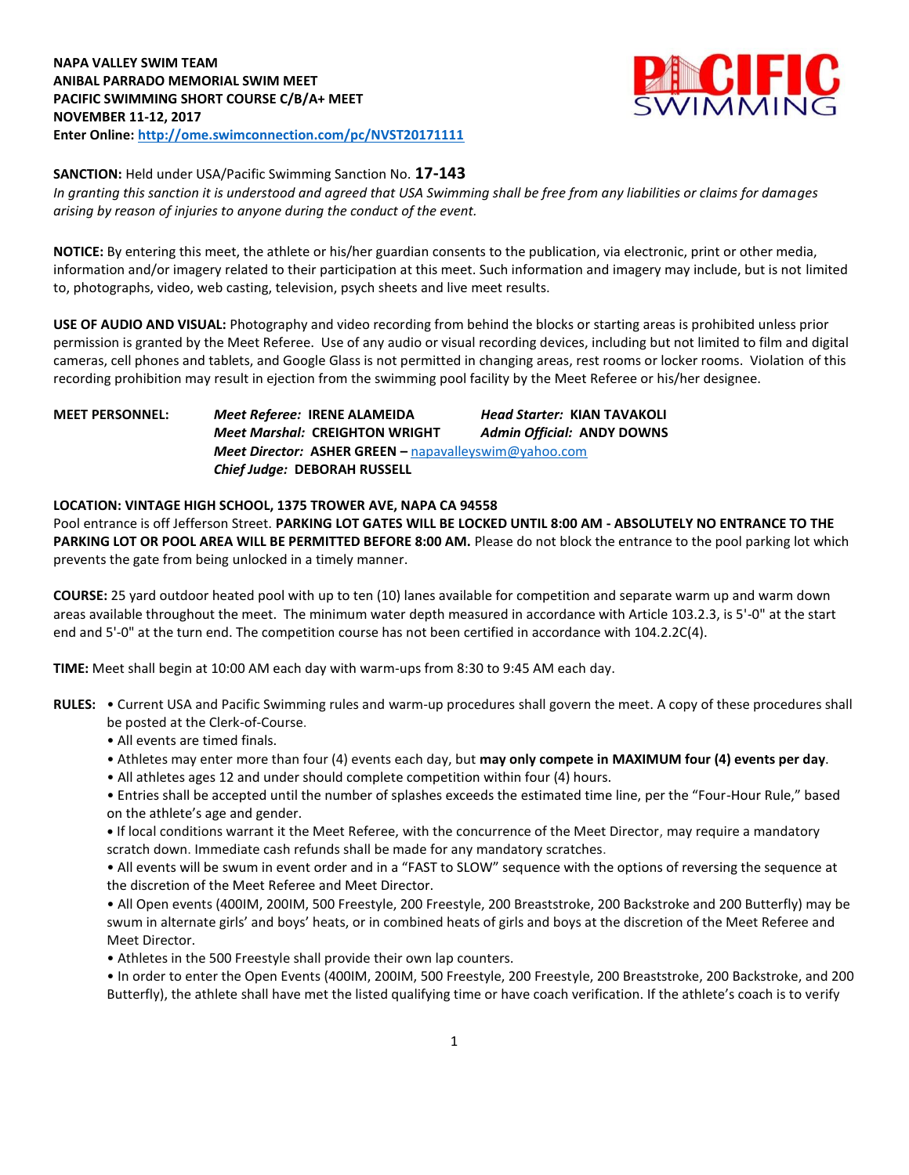

**SANCTION:** Held under USA/Pacific Swimming Sanction No. **17-143**

*In granting this sanction it is understood and agreed that USA Swimming shall be free from any liabilities or claims for damages arising by reason of injuries to anyone during the conduct of the event.*

**NOTICE:** By entering this meet, the athlete or his/her guardian consents to the publication, via electronic, print or other media, information and/or imagery related to their participation at this meet. Such information and imagery may include, but is not limited to, photographs, video, web casting, television, psych sheets and live meet results.

**USE OF AUDIO AND VISUAL:** Photography and video recording from behind the blocks or starting areas is prohibited unless prior permission is granted by the Meet Referee. Use of any audio or visual recording devices, including but not limited to film and digital cameras, cell phones and tablets, and Google Glass is not permitted in changing areas, rest rooms or locker rooms. Violation of this recording prohibition may result in ejection from the swimming pool facility by the Meet Referee or his/her designee.

**MEET PERSONNEL:** *Meet Referee:* **IRENE ALAMEIDA** *Head Starter:* **KIAN TAVAKOLI** *Meet Marshal:* **CREIGHTON WRIGHT** *Admin Official:* **ANDY DOWNS** *Meet Director:* **ASHER GREEN –** [napavalleyswim@yahoo.com](mailto:napavalleyswim@yahoo.com) *Chief Judge:* **DEBORAH RUSSELL**

## **LOCATION: VINTAGE HIGH SCHOOL, 1375 TROWER AVE, NAPA CA 94558**

Pool entrance is off Jefferson Street. **PARKING LOT GATES WILL BE LOCKED UNTIL 8:00 AM - ABSOLUTELY NO ENTRANCE TO THE**  PARKING LOT OR POOL AREA WILL BE PERMITTED BEFORE 8:00 AM. Please do not block the entrance to the pool parking lot which prevents the gate from being unlocked in a timely manner.

**COURSE:** 25 yard outdoor heated pool with up to ten (10) lanes available for competition and separate warm up and warm down areas available throughout the meet. The minimum water depth measured in accordance with Article 103.2.3, is 5'-0" at the start end and 5'-0" at the turn end. The competition course has not been certified in accordance with 104.2.2C(4).

**TIME:** Meet shall begin at 10:00 AM each day with warm-ups from 8:30 to 9:45 AM each day.

- **RULES:** Current USA and Pacific Swimming rules and warm-up procedures shall govern the meet. A copy of these procedures shall be posted at the Clerk-of-Course.
	- All events are timed finals.
	- Athletes may enter more than four (4) events each day, but **may only compete in MAXIMUM four (4) events per day**.
	- All athletes ages 12 and under should complete competition within four (4) hours.

• Entries shall be accepted until the number of splashes exceeds the estimated time line, per the "Four-Hour Rule," based on the athlete's age and gender.

**•** If local conditions warrant it the Meet Referee, with the concurrence of the Meet Director, may require a mandatory scratch down. Immediate cash refunds shall be made for any mandatory scratches.

• All events will be swum in event order and in a "FAST to SLOW" sequence with the options of reversing the sequence at the discretion of the Meet Referee and Meet Director.

• All Open events (400IM, 200IM, 500 Freestyle, 200 Freestyle, 200 Breaststroke, 200 Backstroke and 200 Butterfly) may be swum in alternate girls' and boys' heats, or in combined heats of girls and boys at the discretion of the Meet Referee and Meet Director.

• Athletes in the 500 Freestyle shall provide their own lap counters.

• In order to enter the Open Events (400IM, 200IM, 500 Freestyle, 200 Freestyle, 200 Breaststroke, 200 Backstroke, and 200 Butterfly), the athlete shall have met the listed qualifying time or have coach verification. If the athlete's coach is to verify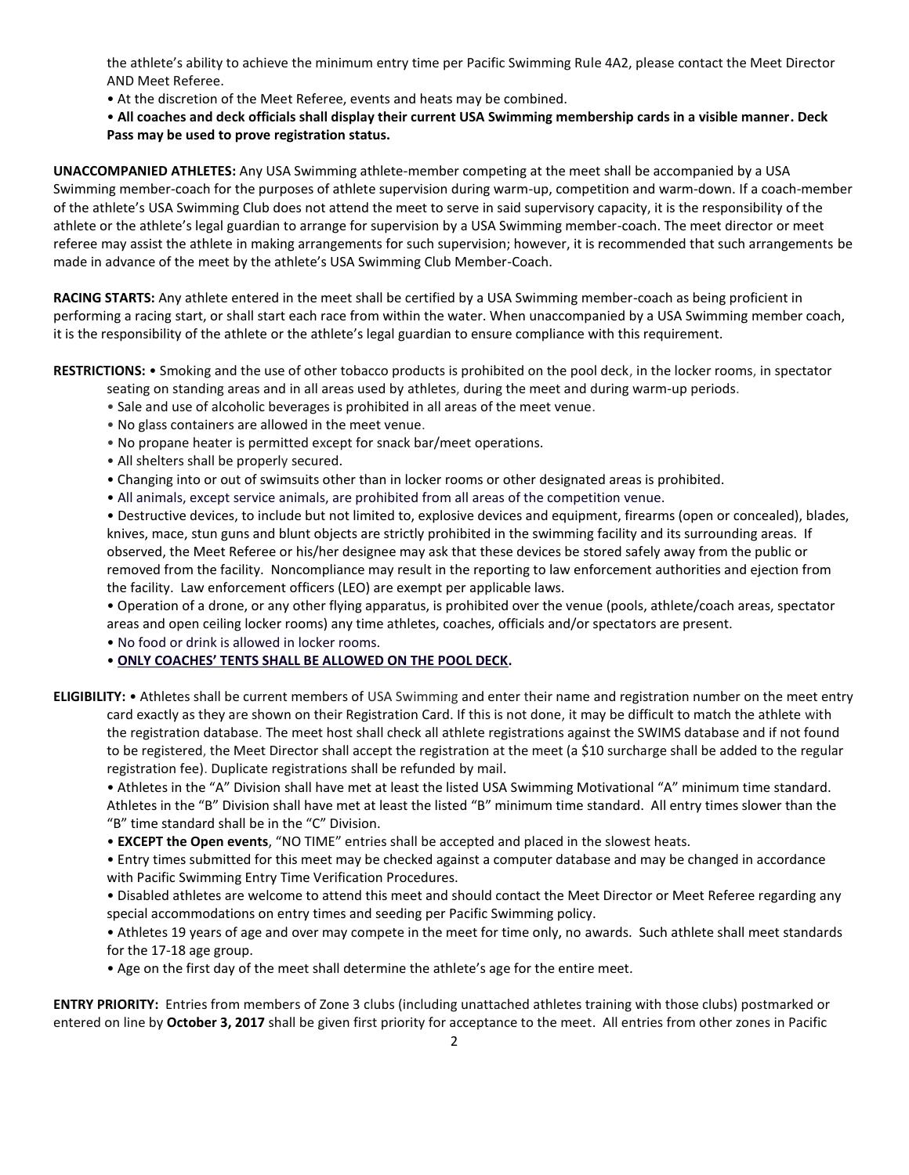the athlete's ability to achieve the minimum entry time per Pacific Swimming Rule 4A2, please contact the Meet Director AND Meet Referee.

• At the discretion of the Meet Referee, events and heats may be combined.

• **All coaches and deck officials shall display their current USA Swimming membership cards in a visible manner. Deck Pass may be used to prove registration status.**

**UNACCOMPANIED ATHLETES:** Any USA Swimming athlete-member competing at the meet shall be accompanied by a USA Swimming member-coach for the purposes of athlete supervision during warm-up, competition and warm-down. If a coach-member of the athlete's USA Swimming Club does not attend the meet to serve in said supervisory capacity, it is the responsibility of the athlete or the athlete's legal guardian to arrange for supervision by a USA Swimming member-coach. The meet director or meet referee may assist the athlete in making arrangements for such supervision; however, it is recommended that such arrangements be made in advance of the meet by the athlete's USA Swimming Club Member-Coach.

**RACING STARTS:** Any athlete entered in the meet shall be certified by a USA Swimming member-coach as being proficient in performing a racing start, or shall start each race from within the water. When unaccompanied by a USA Swimming member coach, it is the responsibility of the athlete or the athlete's legal guardian to ensure compliance with this requirement.

**RESTRICTIONS:** • Smoking and the use of other tobacco products is prohibited on the pool deck, in the locker rooms, in spectator

- seating on standing areas and in all areas used by athletes, during the meet and during warm-up periods.
- Sale and use of alcoholic beverages is prohibited in all areas of the meet venue.
- No glass containers are allowed in the meet venue.
- No propane heater is permitted except for snack bar/meet operations.
- All shelters shall be properly secured.
- Changing into or out of swimsuits other than in locker rooms or other designated areas is prohibited.
- All animals, except service animals, are prohibited from all areas of the competition venue.

• Destructive devices, to include but not limited to, explosive devices and equipment, firearms (open or concealed), blades, knives, mace, stun guns and blunt objects are strictly prohibited in the swimming facility and its surrounding areas. If observed, the Meet Referee or his/her designee may ask that these devices be stored safely away from the public or removed from the facility. Noncompliance may result in the reporting to law enforcement authorities and ejection from the facility. Law enforcement officers (LEO) are exempt per applicable laws.

• Operation of a drone, or any other flying apparatus, is prohibited over the venue (pools, athlete/coach areas, spectator areas and open ceiling locker rooms) any time athletes, coaches, officials and/or spectators are present.

• No food or drink is allowed in locker rooms.

## • **ONLY COACHES' TENTS SHALL BE ALLOWED ON THE POOL DECK.**

**ELIGIBILITY:** • Athletes shall be current members of USA Swimming and enter their name and registration number on the meet entry card exactly as they are shown on their Registration Card. If this is not done, it may be difficult to match the athlete with the registration database. The meet host shall check all athlete registrations against the SWIMS database and if not found to be registered, the Meet Director shall accept the registration at the meet (a \$10 surcharge shall be added to the regular registration fee). Duplicate registrations shall be refunded by mail.

• Athletes in the "A" Division shall have met at least the listed USA Swimming Motivational "A" minimum time standard. Athletes in the "B" Division shall have met at least the listed "B" minimum time standard. All entry times slower than the "B" time standard shall be in the "C" Division.

• **EXCEPT the Open events**, "NO TIME" entries shall be accepted and placed in the slowest heats.

• Entry times submitted for this meet may be checked against a computer database and may be changed in accordance with Pacific Swimming Entry Time Verification Procedures.

• Disabled athletes are welcome to attend this meet and should contact the Meet Director or Meet Referee regarding any special accommodations on entry times and seeding per Pacific Swimming policy.

• Athletes 19 years of age and over may compete in the meet for time only, no awards. Such athlete shall meet standards for the 17-18 age group.

• Age on the first day of the meet shall determine the athlete's age for the entire meet.

**ENTRY PRIORITY:** Entries from members of Zone 3 clubs (including unattached athletes training with those clubs) postmarked or entered on line by **October 3, 2017** shall be given first priority for acceptance to the meet. All entries from other zones in Pacific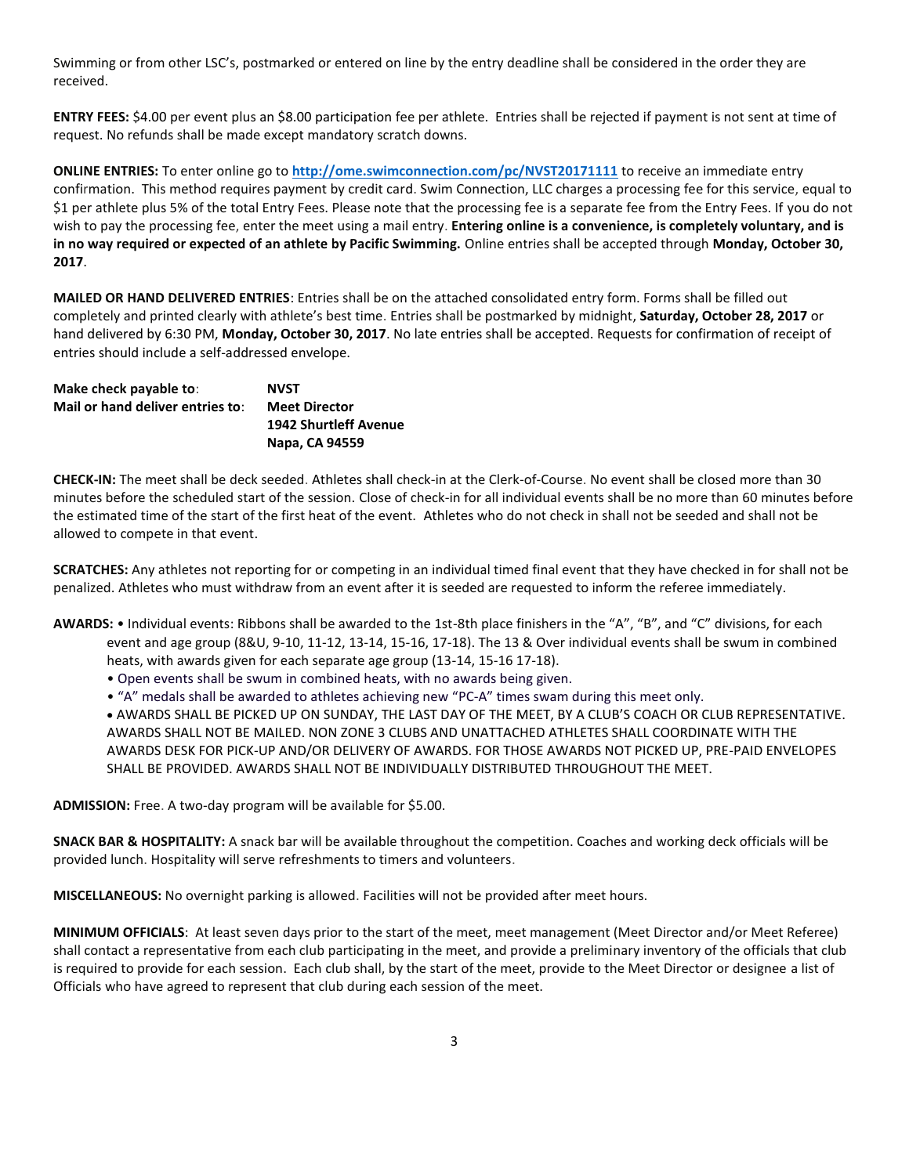Swimming or from other LSC's, postmarked or entered on line by the entry deadline shall be considered in the order they are received.

**ENTRY FEES:** \$4.00 per event plus an \$8.00 participation fee per athlete. Entries shall be rejected if payment is not sent at time of request. No refunds shall be made except mandatory scratch downs.

**ONLINE ENTRIES:** To enter online go to **<http://ome.swimconnection.com/pc/NVST20171111>** to receive an immediate entry confirmation. This method requires payment by credit card. Swim Connection, LLC charges a processing fee for this service, equal to \$1 per athlete plus 5% of the total Entry Fees. Please note that the processing fee is a separate fee from the Entry Fees. If you do not wish to pay the processing fee, enter the meet using a mail entry. **Entering online is a convenience, is completely voluntary, and is in no way required or expected of an athlete by Pacific Swimming.** Online entries shall be accepted through **Monday, October 30, 2017**.

**MAILED OR HAND DELIVERED ENTRIES**: Entries shall be on the attached consolidated entry form. Forms shall be filled out completely and printed clearly with athlete's best time. Entries shall be postmarked by midnight, **Saturday, October 28, 2017** or hand delivered by 6:30 PM, **Monday, October 30, 2017**. No late entries shall be accepted. Requests for confirmation of receipt of entries should include a self-addressed envelope.

| Make check payable to:           | <b>NVST</b>                  |
|----------------------------------|------------------------------|
| Mail or hand deliver entries to: | <b>Meet Director</b>         |
|                                  | <b>1942 Shurtleff Avenue</b> |
|                                  | Napa, CA 94559               |

**CHECK-IN:** The meet shall be deck seeded. Athletes shall check-in at the Clerk-of-Course. No event shall be closed more than 30 minutes before the scheduled start of the session. Close of check-in for all individual events shall be no more than 60 minutes before the estimated time of the start of the first heat of the event. Athletes who do not check in shall not be seeded and shall not be allowed to compete in that event.

**SCRATCHES:** Any athletes not reporting for or competing in an individual timed final event that they have checked in for shall not be penalized. Athletes who must withdraw from an event after it is seeded are requested to inform the referee immediately.

- **AWARDS:** Individual events: Ribbons shall be awarded to the 1st-8th place finishers in the "A", "B", and "C" divisions, for each event and age group (8&U, 9-10, 11-12, 13-14, 15-16, 17-18). The 13 & Over individual events shall be swum in combined heats, with awards given for each separate age group (13-14, 15-16 17-18).
	- Open events shall be swum in combined heats, with no awards being given.
	- "A" medals shall be awarded to athletes achieving new "PC-A" times swam during this meet only.

 AWARDS SHALL BE PICKED UP ON SUNDAY, THE LAST DAY OF THE MEET, BY A CLUB'S COACH OR CLUB REPRESENTATIVE. AWARDS SHALL NOT BE MAILED. NON ZONE 3 CLUBS AND UNATTACHED ATHLETES SHALL COORDINATE WITH THE AWARDS DESK FOR PICK-UP AND/OR DELIVERY OF AWARDS. FOR THOSE AWARDS NOT PICKED UP, PRE-PAID ENVELOPES SHALL BE PROVIDED. AWARDS SHALL NOT BE INDIVIDUALLY DISTRIBUTED THROUGHOUT THE MEET.

**ADMISSION:** Free. A two-day program will be available for \$5.00.

**SNACK BAR & HOSPITALITY:** A snack bar will be available throughout the competition. Coaches and working deck officials will be provided lunch. Hospitality will serve refreshments to timers and volunteers.

**MISCELLANEOUS:** No overnight parking is allowed. Facilities will not be provided after meet hours.

**MINIMUM OFFICIALS**: At least seven days prior to the start of the meet, meet management (Meet Director and/or Meet Referee) shall contact a representative from each club participating in the meet, and provide a preliminary inventory of the officials that club is required to provide for each session. Each club shall, by the start of the meet, provide to the Meet Director or designee a list of Officials who have agreed to represent that club during each session of the meet.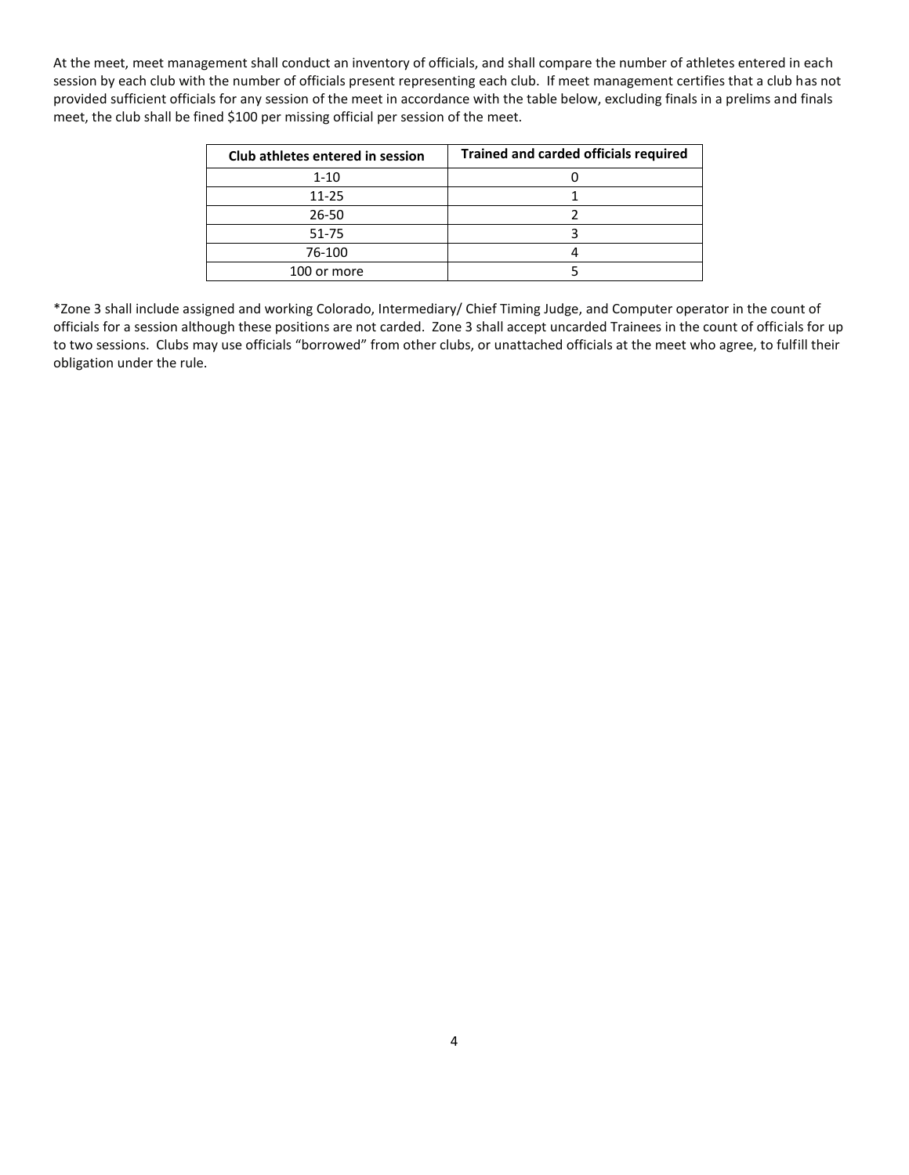At the meet, meet management shall conduct an inventory of officials, and shall compare the number of athletes entered in each session by each club with the number of officials present representing each club. If meet management certifies that a club has not provided sufficient officials for any session of the meet in accordance with the table below, excluding finals in a prelims and finals meet, the club shall be fined \$100 per missing official per session of the meet.

| Club athletes entered in session | <b>Trained and carded officials required</b> |
|----------------------------------|----------------------------------------------|
| $1 - 10$                         |                                              |
| $11 - 25$                        |                                              |
| 26-50                            |                                              |
| 51-75                            |                                              |
| 76-100                           |                                              |
| 100 or more                      |                                              |

\*Zone 3 shall include assigned and working Colorado, Intermediary/ Chief Timing Judge, and Computer operator in the count of officials for a session although these positions are not carded. Zone 3 shall accept uncarded Trainees in the count of officials for up to two sessions. Clubs may use officials "borrowed" from other clubs, or unattached officials at the meet who agree, to fulfill their obligation under the rule.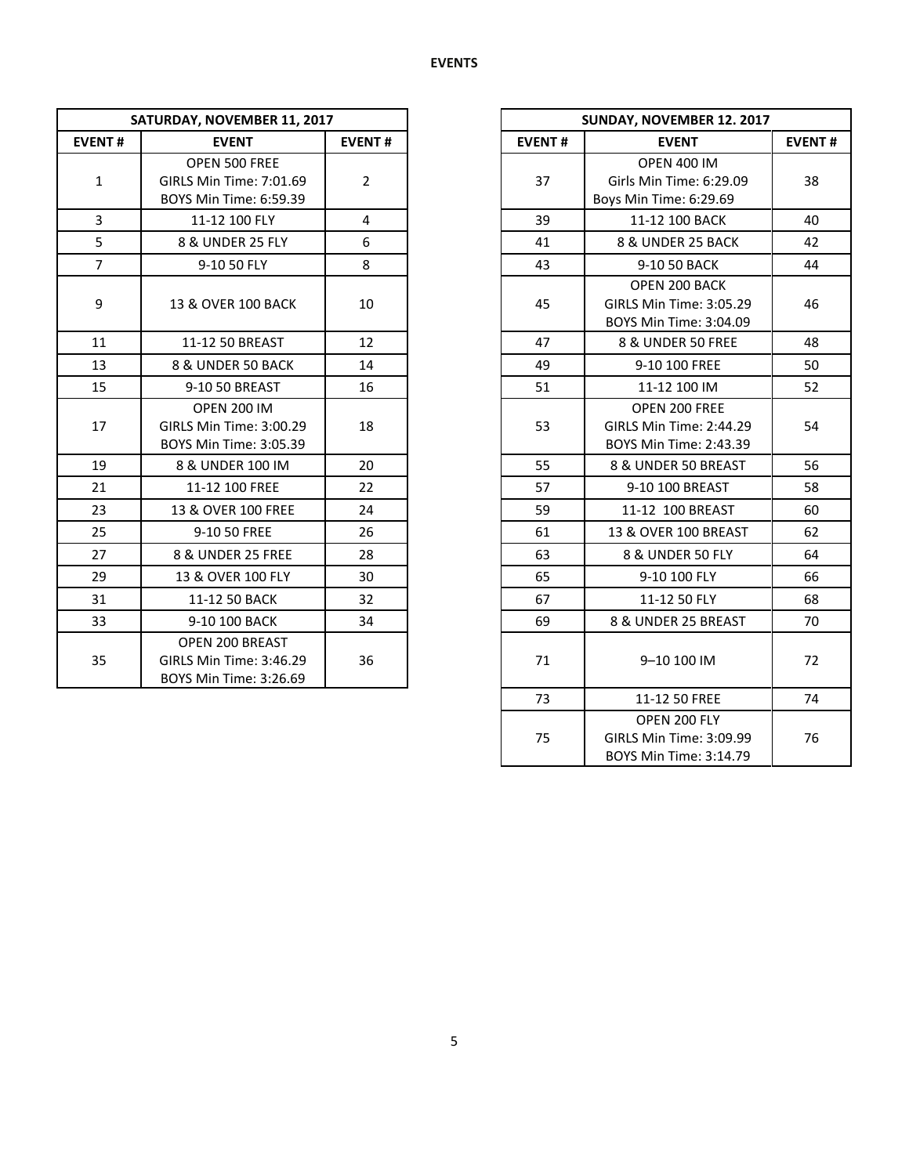| SATURDAY, NOVEMBER 11, 2017 |                                                                         |                |               | SUNDAY, NOVEMBER 12. 2017                                               |
|-----------------------------|-------------------------------------------------------------------------|----------------|---------------|-------------------------------------------------------------------------|
| <b>EVENT#</b>               | <b>EVENT</b>                                                            | <b>EVENT#</b>  | <b>EVENT#</b> | <b>EVENT</b>                                                            |
| $\mathbf{1}$                | OPEN 500 FREE<br>GIRLS Min Time: 7:01.69<br>BOYS Min Time: 6:59.39      | $\overline{2}$ | 37            | <b>OPEN 400 IM</b><br>Girls Min Time: 6:29.09<br>Boys Min Time: 6:29.69 |
| 3                           | 11-12 100 FLY                                                           | 4              | 39            | 11-12 100 BACK                                                          |
| 5                           | 8 & UNDER 25 FLY                                                        | 6              | 41            | 8 & UNDER 25 BACK                                                       |
| $\overline{7}$              | 9-10 50 FLY                                                             | 8              | 43            | 9-10 50 BACK                                                            |
| 9                           | 13 & OVER 100 BACK                                                      | 10             | 45            | OPEN 200 BACK<br>GIRLS Min Time: 3:05.29<br>BOYS Min Time: 3:04.09      |
| 11                          | 11-12 50 BREAST                                                         | 12             | 47            | 8 & UNDER 50 FREE                                                       |
| 13                          | 8 & UNDER 50 BACK                                                       | 14             | 49            | 9-10 100 FREE                                                           |
| 15                          | 9-10 50 BREAST                                                          | 16             | 51            | 11-12 100 IM                                                            |
| 17                          | <b>OPEN 200 IM</b><br>GIRLS Min Time: 3:00.29<br>BOYS Min Time: 3:05.39 | 18             | 53            | OPEN 200 FREE<br>GIRLS Min Time: 2:44.29<br>BOYS Min Time: 2:43.39      |
| 19                          | 8 & UNDER 100 IM                                                        | 20             | 55            | 8 & UNDER 50 BREAST                                                     |
| 21                          | 11-12 100 FREE                                                          | 22             | 57            | 9-10 100 BREAST                                                         |
| 23                          | 13 & OVER 100 FREE                                                      | 24             | 59            | 11-12 100 BREAST                                                        |
| 25                          | 9-10 50 FREE                                                            | 26             | 61            | 13 & OVER 100 BREAST                                                    |
| 27                          | 8 & UNDER 25 FREE                                                       | 28             | 63            | 8 & UNDER 50 FLY                                                        |
| 29                          | 13 & OVER 100 FLY                                                       | 30             | 65            | 9-10 100 FLY                                                            |
| 31                          | 11-12 50 BACK                                                           | 32             | 67            | 11-12 50 FLY                                                            |
| 33                          | 9-10 100 BACK                                                           | 34             | 69            | 8 & UNDER 25 BREAST                                                     |
| 35                          | OPEN 200 BREAST<br>GIRLS Min Time: 3:46.29<br>BOYS Min Time: 3:26.69    | 36             | 71            | 9-10 100 IM                                                             |

|                | SATURDAY, NOVEMBER 11, 2017                                             |                |
|----------------|-------------------------------------------------------------------------|----------------|
| <b>EVENT#</b>  | <b>EVENT</b>                                                            | <b>EVENT#</b>  |
| $\mathbf 1$    | OPEN 500 FREE<br>GIRLS Min Time: 7:01.69<br>BOYS Min Time: 6:59.39      | $\overline{2}$ |
| $\overline{3}$ | 11-12 100 FLY                                                           | $\overline{4}$ |
| 5              | 8 & UNDER 25 FLY                                                        | 6              |
| $\overline{7}$ | 9-10 50 FLY                                                             | 8              |
| 9              | 13 & OVER 100 BACK                                                      | 10             |
| 11             | 11-12 50 BREAST                                                         | 12             |
| 13             | 8 & UNDER 50 BACK                                                       | 14             |
| 15             | 9-10 50 BREAST                                                          | 16             |
| 17             | <b>OPEN 200 IM</b><br>GIRLS Min Time: 3:00.29<br>BOYS Min Time: 3:05.39 | 18             |
| 19             | 8 & UNDER 100 IM                                                        | 20             |
| 21             | 11-12 100 FREE                                                          | 22             |
| 23             | 13 & OVER 100 FREE                                                      | 24             |
| 25             | 9-10 50 FREE                                                            | 26             |
| 27             | 8 & UNDER 25 FREE                                                       | 28             |
| 29             | 13 & OVER 100 FLY                                                       | 30             |
| 31             | 11-12 50 BACK                                                           | 32             |
| 33             | 9-10 100 BACK                                                           | 34             |
| 35             | OPEN 200 BREAST<br>GIRLS Min Time: 3:46.29<br>BOYS Min Time: 3:26.69    | 36             |
|                |                                                                         |                |
|                |                                                                         |                |